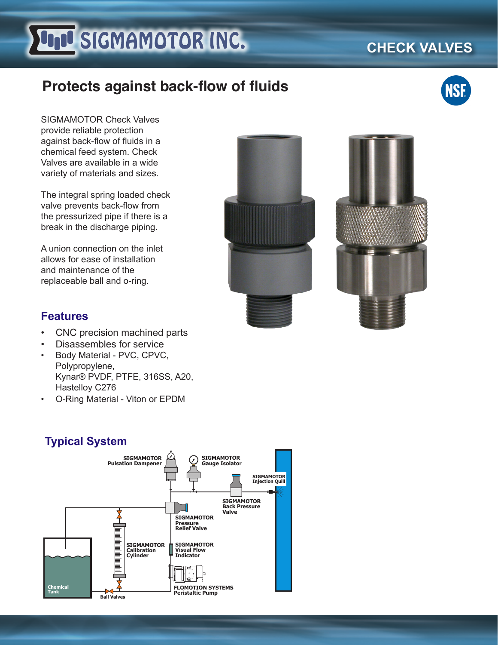# **FILE SIGMAMOTOR INC.**

# **Protects against back-flow of fluids**

SIGMAMOTOR Check Valves provide reliable protection against back-flow of fluids in a chemical feed system. Check Valves are available in a wide variety of materials and sizes.

The integral spring loaded check valve prevents back-flow from the pressurized pipe if there is a break in the discharge piping.

A union connection on the inlet allows for ease of installation and maintenance of the replaceable ball and o-ring.

### **Features**

- CNC precision machined parts
- Disassembles for service
- Body Material PVC, CPVC, Polypropylene, Kynar® PVDF, PTFE, 316SS, A20, Hastelloy C276
- O-Ring Material Viton or EPDM











# **CHECK VALVES**